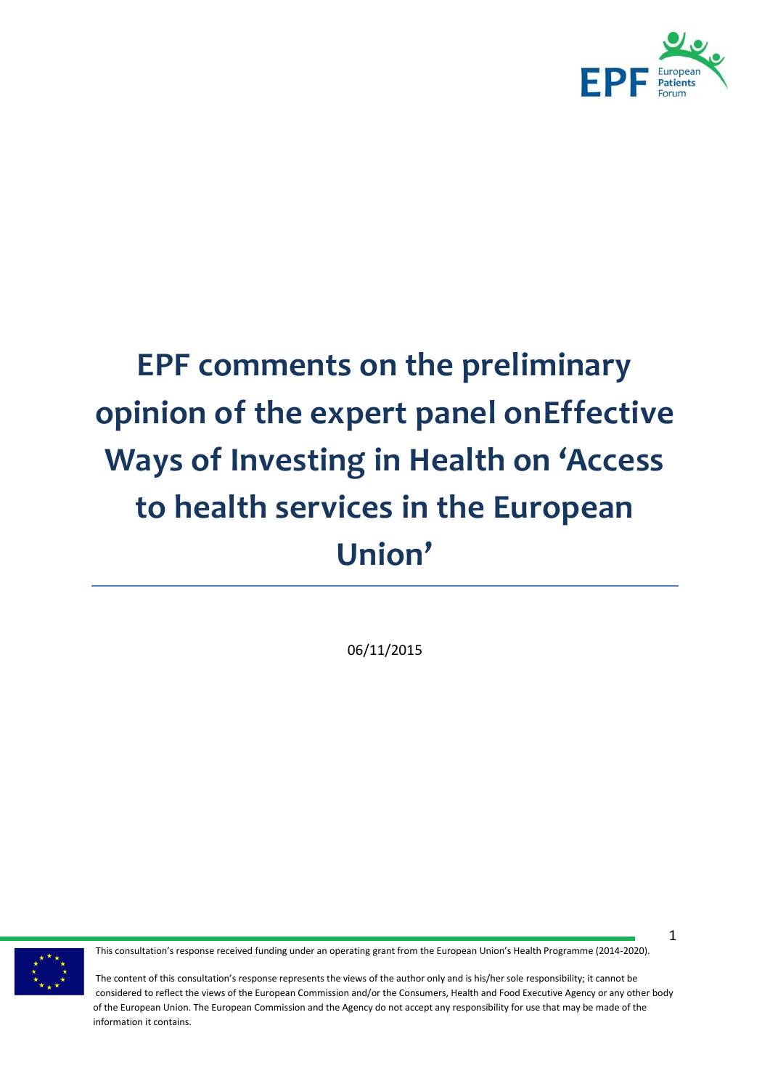

# **EPF comments on the preliminary opinion of the expert panel onEffective Ways of Investing in Health on 'Access to health services in the European Union'**

06/11/2015



This consultation's response received funding under an operating grant from the European Union's Health Programme (2014-2020).

1

The content of this consultation's response represents the views of the author only and is his/her sole responsibility; it cannot be considered to reflect the views of the European Commission and/or the Consumers, Health and Food Executive Agency or any other body of the European Union. The European Commission and the Agency do not accept any responsibility for use that may be made of the information it contains.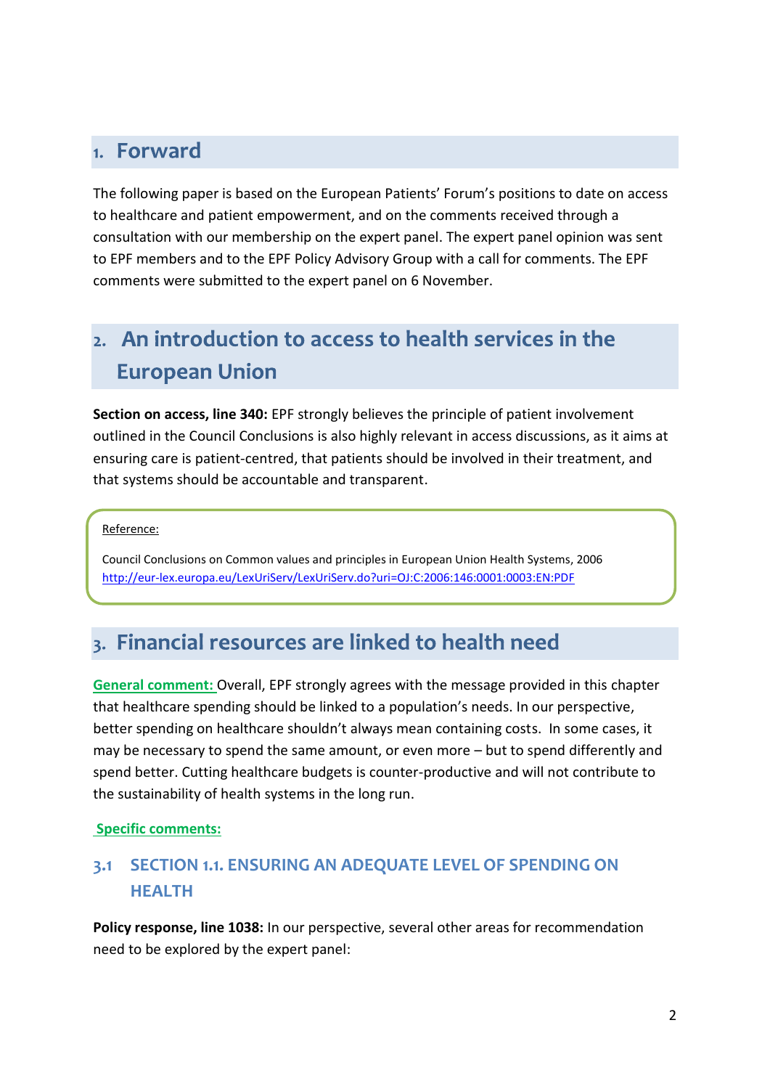### 1. Forward

The following paper is based on the European Patients' Forum's positions to date on access to healthcare and patient empowerment, and on the comments received through a consultation with our membership on the expert panel. The expert panel opinion was sent to EPF members and to the EPF Policy Advisory Group with a call for comments. The EPF comments were submitted to the expert panel on 6 November.

# 2. An introduction to access to health services in the **European Union**

**Section on access, line 340:** EPF strongly believes the principle of patient involvement outlined in the Council Conclusions is also highly relevant in access discussions, as it aims at ensuring care is patient-centred, that patients should be involved in their treatment, and that systems should be accountable and transparent.

#### Reference:

Council Conclusions on Common values and principles in European Union Health Systems, 2006 <http://eur-lex.europa.eu/LexUriServ/LexUriServ.do?uri=OJ:C:2006:146:0001:0003:EN:PDF>

### 3. Financial resources are linked to health need

**General comment:** Overall, EPF strongly agrees with the message provided in this chapter that healthcare spending should be linked to a population's needs. In our perspective, better spending on healthcare shouldn't always mean containing costs. In some cases, it may be necessary to spend the same amount, or even more – but to spend differently and spend better. Cutting healthcare budgets is counter-productive and will not contribute to the sustainability of health systems in the long run.

#### **Specific comments:**

### **3.1 SECTION 1.1. ENSURING AN ADEQUATE LEVEL OF SPENDING ON HEALTH**

**Policy response, line 1038:** In our perspective, several other areas for recommendation need to be explored by the expert panel: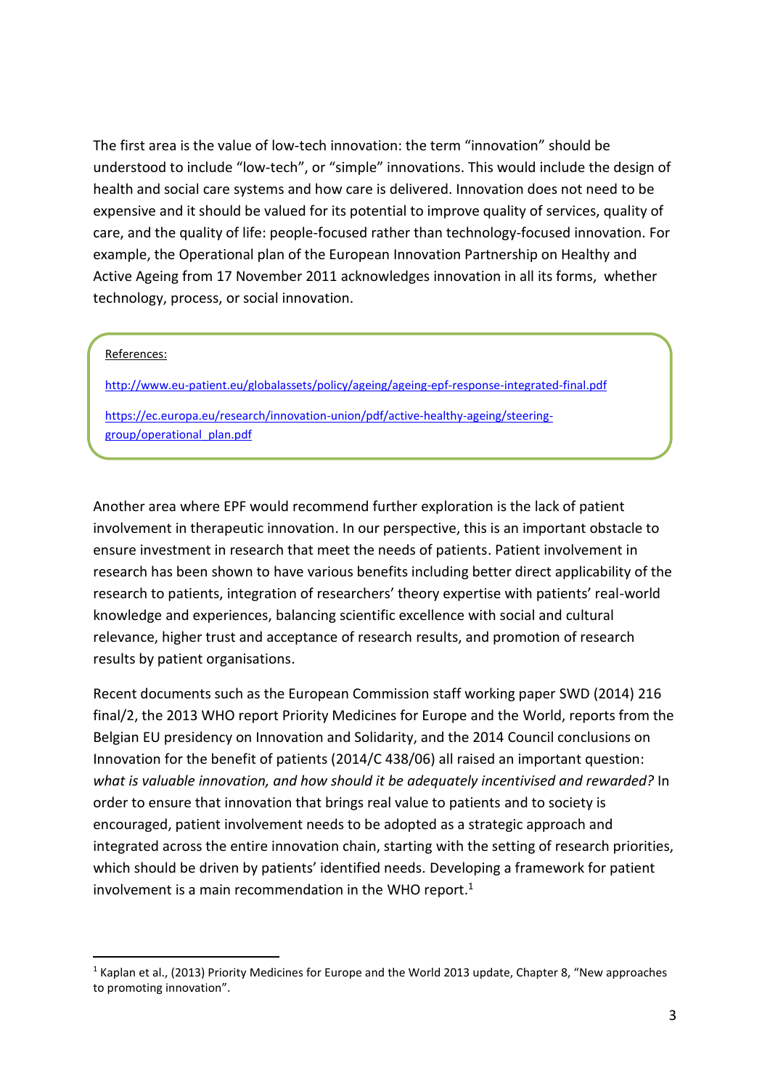The first area is the value of low-tech innovation: the term "innovation" should be understood to include "low-tech", or "simple" innovations. This would include the design of health and social care systems and how care is delivered. Innovation does not need to be expensive and it should be valued for its potential to improve quality of services, quality of care, and the quality of life: people-focused rather than technology-focused innovation. For example, the Operational plan of the European Innovation Partnership on Healthy and Active Ageing from 17 November 2011 acknowledges innovation in all its forms, whether technology, process, or social innovation.

#### References:

-

<http://www.eu-patient.eu/globalassets/policy/ageing/ageing-epf-response-integrated-final.pdf> [https://ec.europa.eu/research/innovation-union/pdf/active-healthy-ageing/steering-](https://ec.europa.eu/research/innovation-union/pdf/active-healthy-ageing/steering-group/operational_plan.pdf)

[group/operational\\_plan.pdf](https://ec.europa.eu/research/innovation-union/pdf/active-healthy-ageing/steering-group/operational_plan.pdf)

Another area where EPF would recommend further exploration is the lack of patient involvement in therapeutic innovation. In our perspective, this is an important obstacle to ensure investment in research that meet the needs of patients. Patient involvement in research has been shown to have various benefits including better direct applicability of the research to patients, integration of researchers' theory expertise with patients' real-world knowledge and experiences, balancing scientific excellence with social and cultural relevance, higher trust and acceptance of research results, and promotion of research results by patient organisations.

Recent documents such as the European Commission staff working paper SWD (2014) 216 final/2, the 2013 WHO report Priority Medicines for Europe and the World, reports from the Belgian EU presidency on Innovation and Solidarity, and the 2014 Council conclusions on Innovation for the benefit of patients (2014/C 438/06) all raised an important question: *what is valuable innovation, and how should it be adequately incentivised and rewarded?* In order to ensure that innovation that brings real value to patients and to society is encouraged, patient involvement needs to be adopted as a strategic approach and integrated across the entire innovation chain, starting with the setting of research priorities, which should be driven by patients' identified needs. Developing a framework for patient involvement is a main recommendation in the WHO report. 1

 $1$  Kaplan et al., (2013) Priority Medicines for Europe and the World 2013 update, Chapter 8, "New approaches to promoting innovation".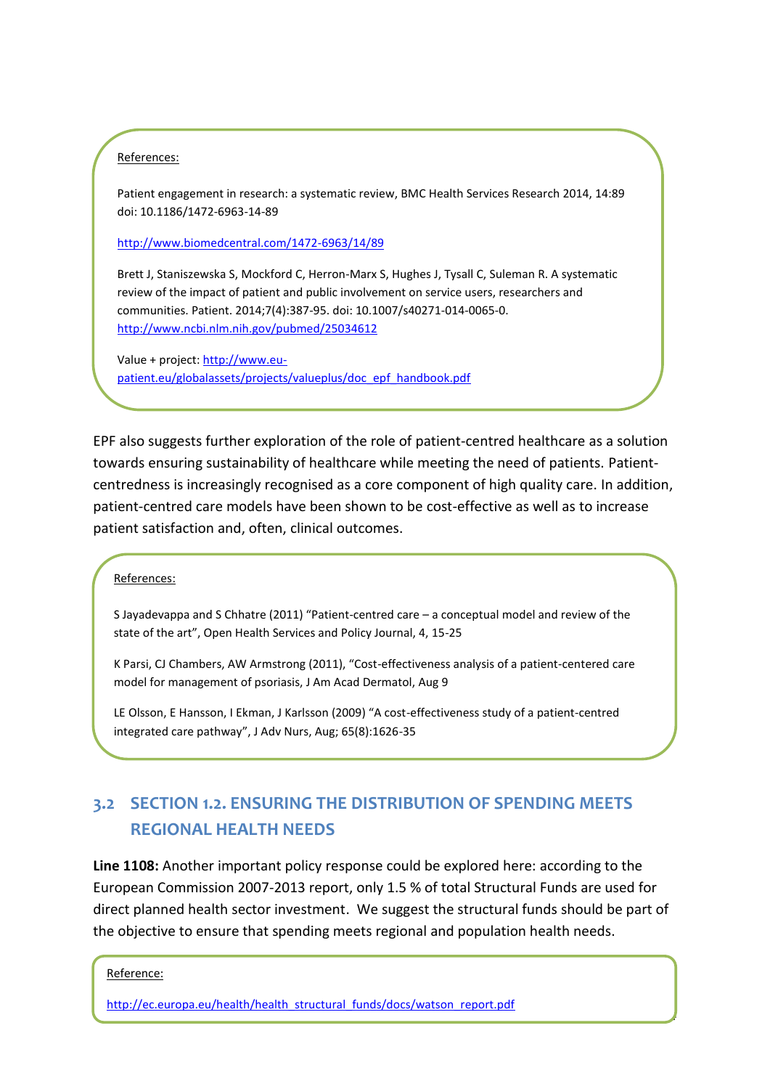#### References:

Patient engagement in research: a systematic review, BMC Health Services Research 2014, 14:89 doi: 10.1186/1472-6963-14-89

<http://www.biomedcentral.com/1472-6963/14/89>

Brett J, Staniszewska S, Mockford C, Herron-Marx S, Hughes J, Tysall C, Suleman R. A systematic review of the impact of patient and public involvement on service users, researchers and communities. Patient. 2014;7(4):387-95. doi: 10.1007/s40271-014-0065-0. <http://www.ncbi.nlm.nih.gov/pubmed/25034612>

PatientPartner: [http://www.patientpartner-europe.eu/en/resources/active-involvement-in-the-](http://www.patientpartner-europe.eu/en/resources/active-involvement-in-the-process/3-references-and-summaries)

Value + project: [http://www.eu](http://www.eu-patient.eu/globalassets/projects/valueplus/doc_epf_handbook.pdf)[patient.eu/globalassets/projects/valueplus/doc\\_epf\\_handbook.pdf](http://www.eu-patient.eu/globalassets/projects/valueplus/doc_epf_handbook.pdf)

EPF also suggests further exploration of the role of patient-centred healthcare as a solution towards ensuring sustainability of healthcare while meeting the need of patients. Patientcentredness is increasingly recognised as a core component of high quality care. In addition, patient-centred care models have been shown to be cost-effective as well as to increase patient satisfaction and, often, clinical outcomes.

References:

S Jayadevappa and S Chhatre (2011) "Patient-centred care – a conceptual model and review of the state of the art", Open Health Services and Policy Journal, 4, 15-25

K Parsi, CJ Chambers, AW Armstrong (2011), "Cost-effectiveness analysis of a patient-centered care model for management of psoriasis, J Am Acad Dermatol, Aug 9

LE Olsson, E Hansson, I Ekman, J Karlsson (2009) "A cost-effectiveness study of a patient-centred integrated care pathway", J Adv Nurs, Aug; 65(8):1626-35

### **3.2 SECTION 1.2. ENSURING THE DISTRIBUTION OF SPENDING MEETS REGIONAL HEALTH NEEDS**

**Line 1108:** Another important policy response could be explored here: according to the European Commission 2007-2013 report, only 1.5 % of total Structural Funds are used for direct planned health sector investment. We suggest the structural funds should be part of the objective to ensure that spending meets regional and population health needs.

4

Reference:

[http://ec.europa.eu/health/health\\_structural\\_funds/docs/watson\\_report.pdf](http://ec.europa.eu/health/health_structural_funds/docs/watson_report.pdf)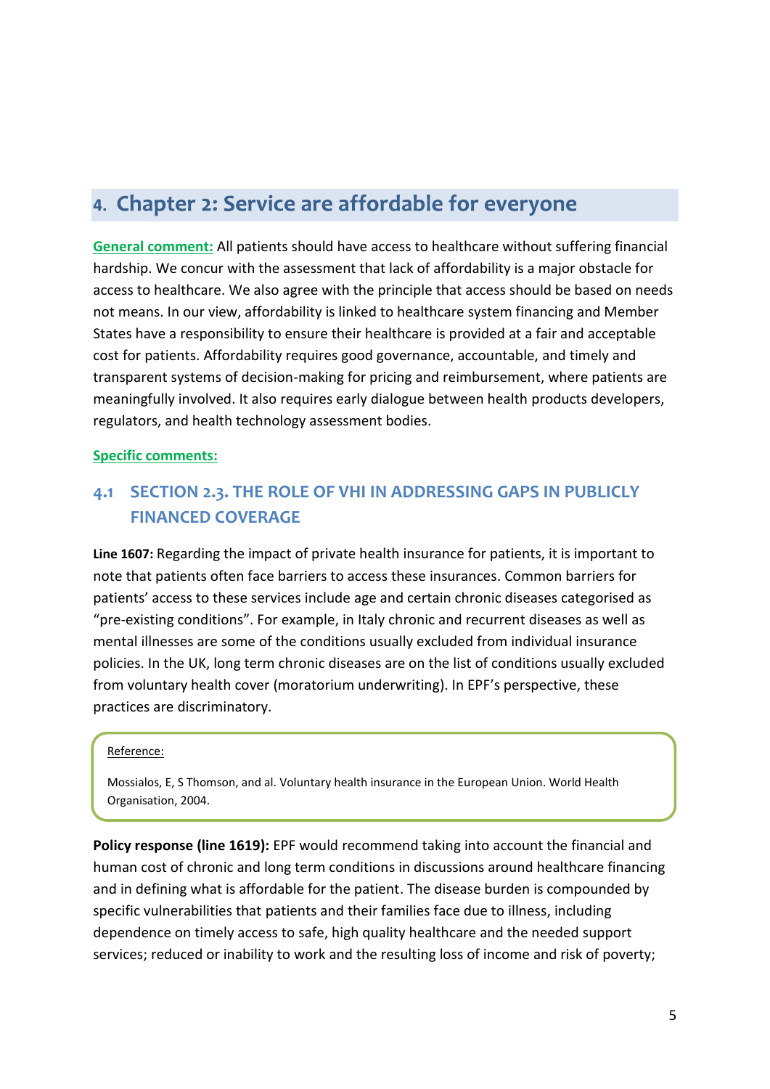## 4. Chapter 2: Service are affordable for everyone

**General comment:** All patients should have access to healthcare without suffering financial hardship. We concur with the assessment that lack of affordability is a major obstacle for access to healthcare. We also agree with the principle that access should be based on needs not means. In our view, affordability is linked to healthcare system financing and Member States have a responsibility to ensure their healthcare is provided at a fair and acceptable cost for patients. Affordability requires good governance, accountable, and timely and transparent systems of decision-making for pricing and reimbursement, where patients are meaningfully involved. It also requires early dialogue between health products developers, regulators, and health technology assessment bodies.

#### **Specific comments:**

### **4.1 SECTION 2.3. THE ROLE OF VHI IN ADDRESSING GAPS IN PUBLICLY FINANCED COVERAGE**

**Line 1607:** Regarding the impact of private health insurance for patients, it is important to note that patients often face barriers to access these insurances. Common barriers for patients' access to these services include age and certain chronic diseases categorised as "pre-existing conditions". For example, in Italy chronic and recurrent diseases as well as mental illnesses are some of the conditions usually excluded from individual insurance policies. In the UK, long term chronic diseases are on the list of conditions usually excluded from voluntary health cover (moratorium underwriting). In EPF's perspective, these practices are discriminatory.

#### Reference:

Mossialos, E, S Thomson, and al. Voluntary health insurance in the European Union. World Health Organisation, 2004.

**Policy response (line 1619):** EPF would recommend taking into account the financial and human cost of chronic and long term conditions in discussions around healthcare financing and in defining what is affordable for the patient. The disease burden is compounded by specific vulnerabilities that patients and their families face due to illness, including dependence on timely access to safe, high quality healthcare and the needed support services; reduced or inability to work and the resulting loss of income and risk of poverty;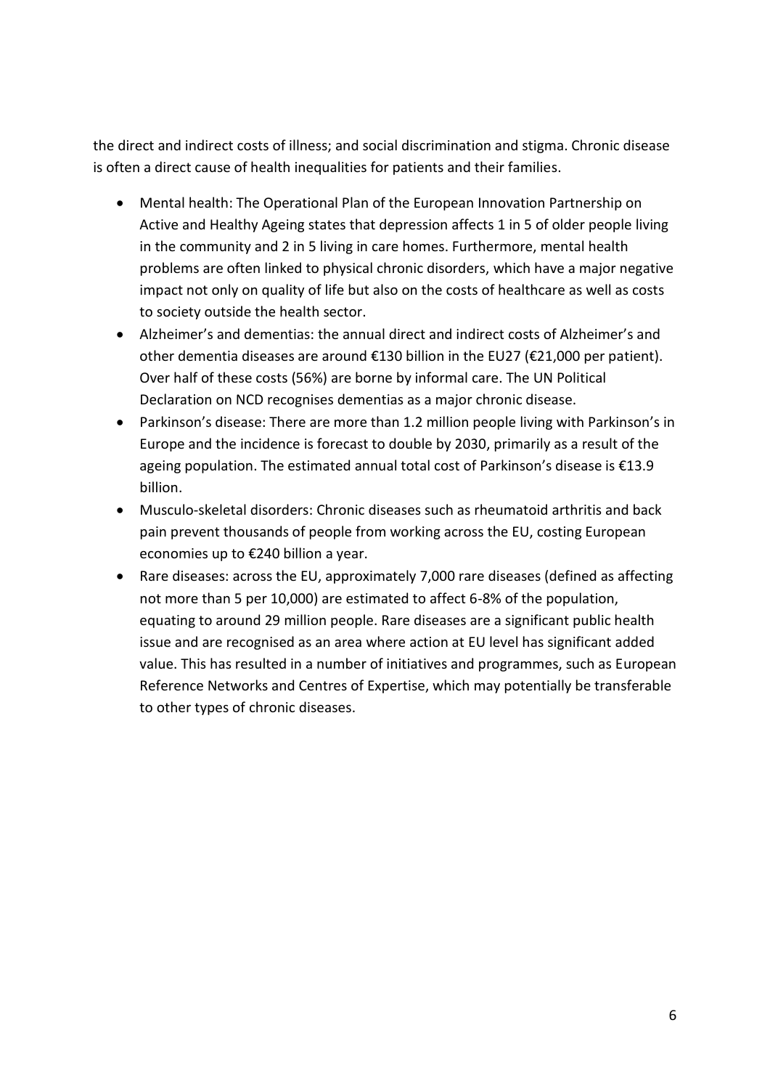the direct and indirect costs of illness; and social discrimination and stigma. Chronic disease is often a direct cause of health inequalities for patients and their families.

- Mental health: The Operational Plan of the European Innovation Partnership on Active and Healthy Ageing states that depression affects 1 in 5 of older people living in the community and 2 in 5 living in care homes. Furthermore, mental health problems are often linked to physical chronic disorders, which have a major negative impact not only on quality of life but also on the costs of healthcare as well as costs to society outside the health sector.
- Alzheimer's and dementias: the annual direct and indirect costs of Alzheimer's and other dementia diseases are around €130 billion in the EU27 (€21,000 per patient). Over half of these costs (56%) are borne by informal care. The UN Political Declaration on NCD recognises dementias as a major chronic disease.
- Parkinson's disease: There are more than 1.2 million people living with Parkinson's in Europe and the incidence is forecast to double by 2030, primarily as a result of the ageing population. The estimated annual total cost of Parkinson's disease is €13.9 billion.
- Musculo-skeletal disorders: Chronic diseases such as rheumatoid arthritis and back pain prevent thousands of people from working across the EU, costing European economies up to €240 billion a year.
- Rare diseases: across the EU, approximately 7,000 rare diseases (defined as affecting not more than 5 per 10,000) are estimated to affect 6-8% of the population, equating to around 29 million people. Rare diseases are a significant public health issue and are recognised as an area where action at EU level has significant added value. This has resulted in a number of initiatives and programmes, such as European Reference Networks and Centres of Expertise, which may potentially be transferable to other types of chronic diseases.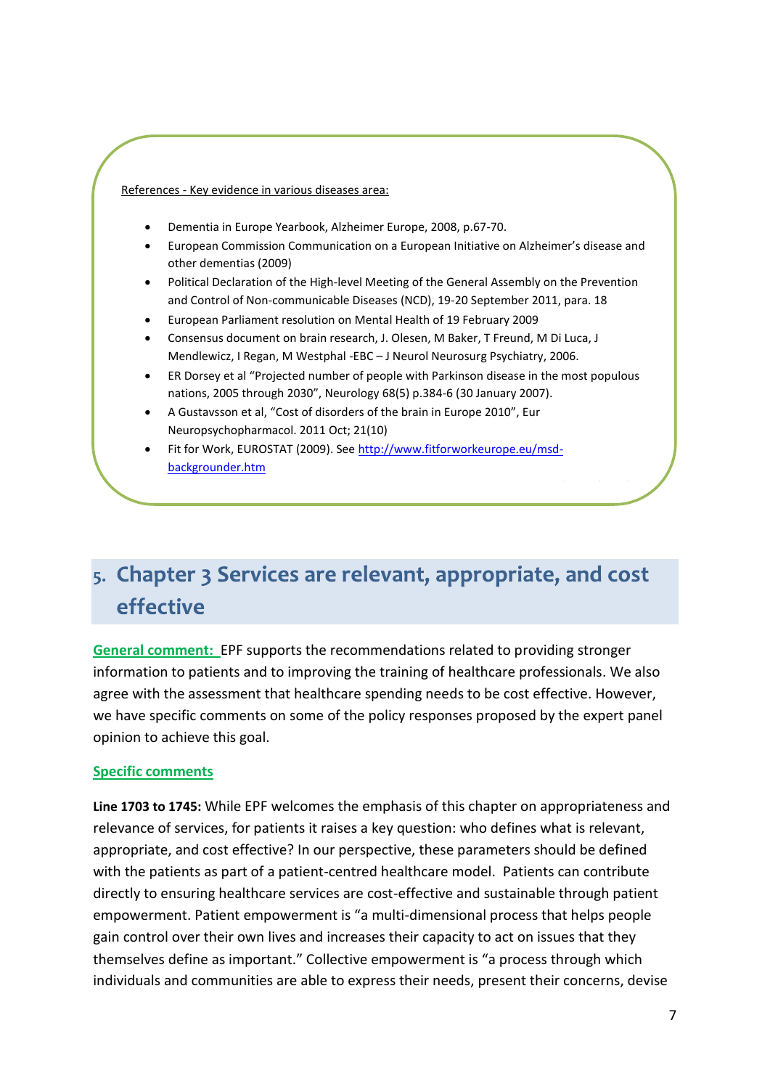References - Key evidence in various diseases area:

- Dementia in Europe Yearbook, Alzheimer Europe, 2008, p.67-70.
- European Commission Communication on a European Initiative on Alzheimer's disease and other dementias (2009)
- Political Declaration of the High-level Meeting of the General Assembly on the Prevention and Control of Non-communicable Diseases (NCD), 19-20 September 2011, para. 18
- European Parliament resolution on Mental Health of 19 February 2009
- Consensus document on brain research, J. Olesen, M Baker, T Freund, M Di Luca, J Mendlewicz, I Regan, M Westphal -EBC – J Neurol Neurosurg Psychiatry, 2006.
- ER Dorsey et al "Projected number of people with Parkinson disease in the most populous nations, 2005 through 2030", Neurology 68(5) p.384-6 (30 January 2007).
- A Gustavsson et al, "Cost of disorders of the brain in Europe 2010", Eur Neuropsychopharmacol. 2011 Oct; 21(10)
- Fit for Work, EUROSTAT (2009). See [http://www.fitforworkeurope.eu/msd](http://www.fitforworkeurope.eu/msd-backgrounder.htm)[backgrounder.htm](http://www.fitforworkeurope.eu/msd-backgrounder.htm)

# 5. Chapter 3 Services are relevant, appropriate, and cost effective

**General comment:** EPF supports the recommendations related to providing stronger information to patients and to improving the training of healthcare professionals. We also agree with the assessment that healthcare spending needs to be cost effective. However, we have specific comments on some of the policy responses proposed by the expert panel opinion to achieve this goal.

#### **Specific comments**

679 final

**Line 1703 to 1745:** While EPF welcomes the emphasis of this chapter on appropriateness and relevance of services, for patients it raises a key question: who defines what is relevant, appropriate, and cost effective? In our perspective, these parameters should be defined with the patients as part of a patient-centred healthcare model. Patients can contribute directly to ensuring healthcare services are cost-effective and sustainable through patient empowerment. Patient empowerment is "a multi-dimensional process that helps people gain control over their own lives and increases their capacity to act on issues that they themselves define as important." Collective empowerment is "a process through which individuals and communities are able to express their needs, present their concerns, devise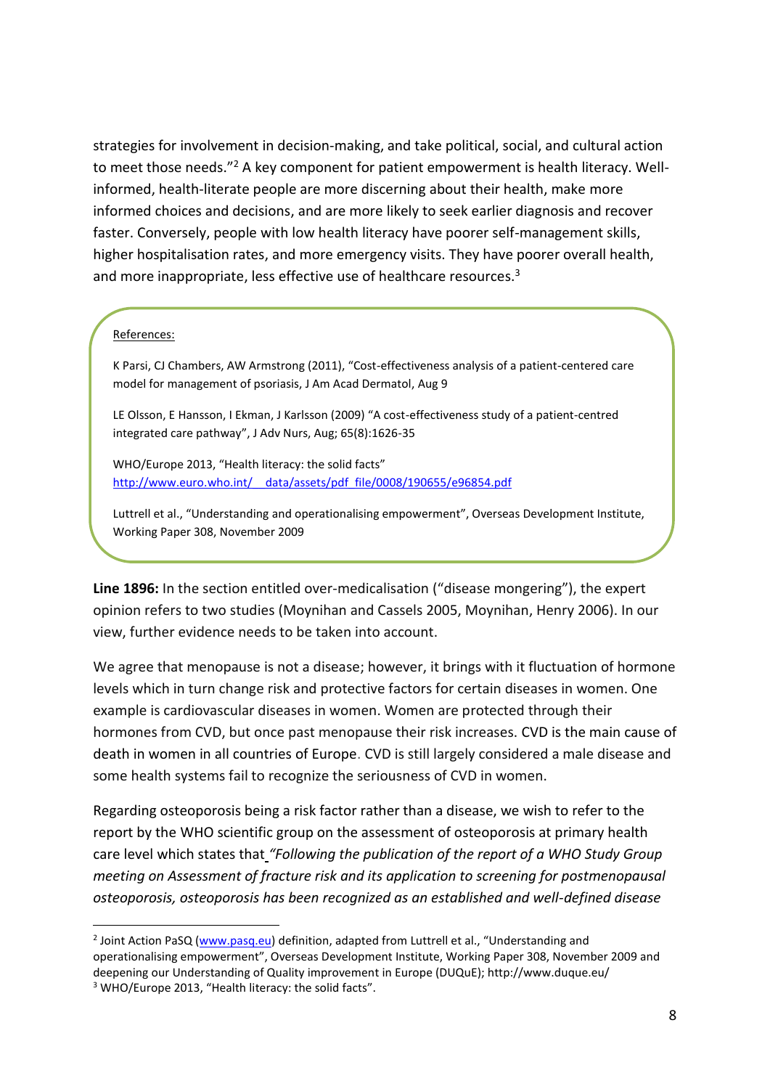strategies for involvement in decision-making, and take political, social, and cultural action to meet those needs."<sup>2</sup> A key component for patient empowerment is health literacy. Wellinformed, health-literate people are more discerning about their health, make more informed choices and decisions, and are more likely to seek earlier diagnosis and recover faster. Conversely, people with low health literacy have poorer self-management skills, higher hospitalisation rates, and more emergency visits. They have poorer overall health, and more inappropriate, less effective use of healthcare resources.<sup>3</sup>

#### References:

-

K Parsi, CJ Chambers, AW Armstrong (2011), "Cost-effectiveness analysis of a patient-centered care model for management of psoriasis, J Am Acad Dermatol, Aug 9

LE Olsson, E Hansson, I Ekman, J Karlsson (2009) "A cost-effectiveness study of a patient-centred integrated care pathway", J Adv Nurs, Aug; 65(8):1626-35

WHO/Europe 2013, "Health literacy: the solid facts" [http://www.euro.who.int/\\_\\_data/assets/pdf\\_file/0008/190655/e96854.pdf](http://www.euro.who.int/__data/assets/pdf_file/0008/190655/e96854.pdf)

Luttrell et al., "Understanding and operationalising empowerment", Overseas Development Institute, Working Paper 308, November 2009

**Line 1896:** In the section entitled over-medicalisation ("disease mongering"), the expert opinion refers to two studies (Moynihan and Cassels 2005, Moynihan, Henry 2006). In our view, further evidence needs to be taken into account.

We agree that menopause is not a disease; however, it brings with it fluctuation of hormone levels which in turn change risk and protective factors for certain diseases in women. One example is cardiovascular diseases in women. Women are protected through their hormones from CVD, but once past menopause their risk increases. CVD is the main cause of death in women in all countries of Europe. CVD is still largely considered a male disease and some health systems fail to recognize the seriousness of CVD in women.

Regarding osteoporosis being a risk factor rather than a disease, we wish to refer to the report by the WHO scientific group on the assessment of osteoporosis at primary health care level which states that *"Following the publication of the report of a WHO Study Group meeting on Assessment of fracture risk and its application to screening for postmenopausal osteoporosis, osteoporosis has been recognized as an established and well-defined disease* 

<sup>&</sup>lt;sup>2</sup> Joint Action PaSQ [\(www.pasq.eu\)](http://www.pasq.eu/) definition, adapted from Luttrell et al., "Understanding and operationalising empowerment", Overseas Development Institute, Working Paper 308, November 2009 and deepening our Understanding of Quality improvement in Europe (DUQuE); http://www.duque.eu/ <sup>3</sup> WHO/Europe 2013, "Health literacy: the solid facts".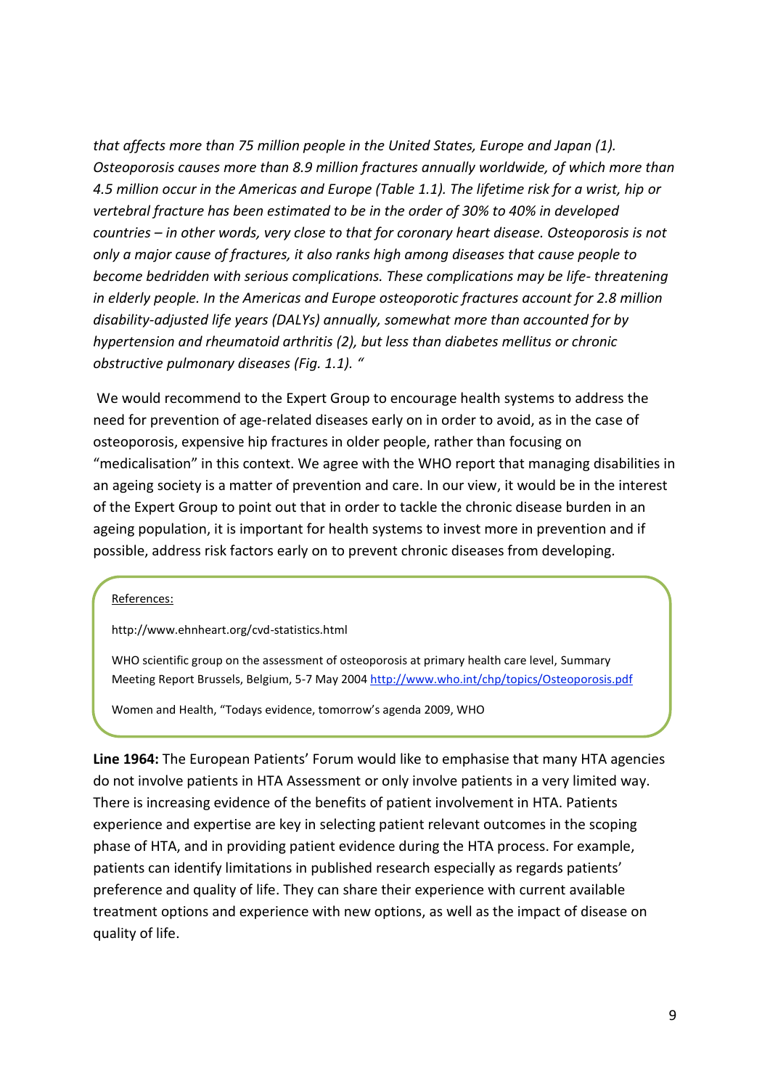*that affects more than 75 million people in the United States, Europe and Japan (1). Osteoporosis causes more than 8.9 million fractures annually worldwide, of which more than 4.5 million occur in the Americas and Europe (Table 1.1). The lifetime risk for a wrist, hip or vertebral fracture has been estimated to be in the order of 30% to 40% in developed countries – in other words, very close to that for coronary heart disease. Osteoporosis is not only a major cause of fractures, it also ranks high among diseases that cause people to become bedridden with serious complications. These complications may be life- threatening in elderly people. In the Americas and Europe osteoporotic fractures account for 2.8 million disability-adjusted life years (DALYs) annually, somewhat more than accounted for by hypertension and rheumatoid arthritis (2), but less than diabetes mellitus or chronic obstructive pulmonary diseases (Fig. 1.1). "*

We would recommend to the Expert Group to encourage health systems to address the need for prevention of age-related diseases early on in order to avoid, as in the case of osteoporosis, expensive hip fractures in older people, rather than focusing on "medicalisation" in this context. We agree with the WHO report that managing disabilities in an ageing society is a matter of prevention and care. In our view, it would be in the interest of the Expert Group to point out that in order to tackle the chronic disease burden in an ageing population, it is important for health systems to invest more in prevention and if possible, address risk factors early on to prevent chronic diseases from developing*.*

#### References:

http://www.ehnheart.org/cvd-statistics.html

WHO scientific group on the assessment of osteoporosis at primary health care level, Summary Meeting Report Brussels, Belgium, 5-7 May 2004 <http://www.who.int/chp/topics/Osteoporosis.pdf>

Women and Health, "Todays evidence, tomorrow's agenda 2009, WHO

http://www.who.int/gender/women\_health\_report/fully\_report/fully\_report/fully\_report/fully\_report/fully\_report

**Line 1964:** The European Patients' Forum would like to emphasise that many HTA agencies do not involve patients in HTA Assessment or only involve patients in a very limited way. There is increasing evidence of the benefits of patient involvement in HTA. Patients experience and expertise are key in selecting patient relevant outcomes in the scoping phase of HTA, and in providing patient evidence during the HTA process. For example, patients can identify limitations in published research especially as regards patients' preference and quality of life. They can share their experience with current available treatment options and experience with new options, as well as the impact of disease on quality of life.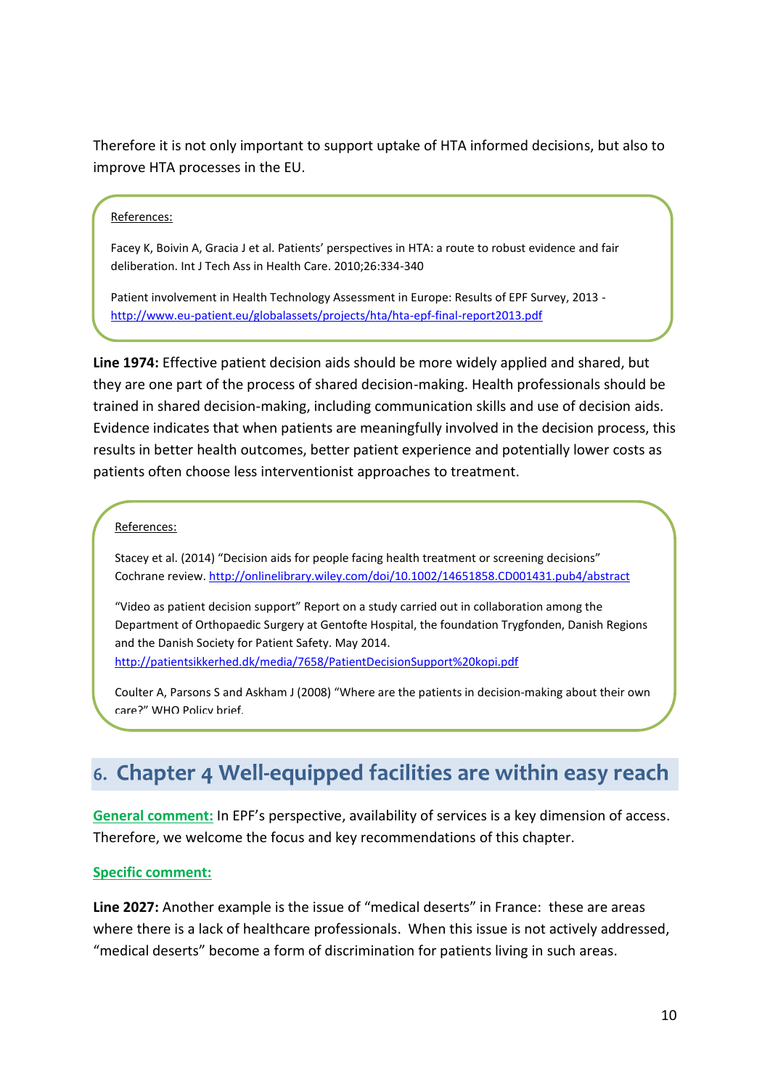Therefore it is not only important to support uptake of HTA informed decisions, but also to improve HTA processes in the EU.

#### References:

Facey K, Boivin A, Gracia J et al. Patients' perspectives in HTA: a route to robust evidence and fair deliberation. Int J Tech Ass in Health Care. 2010;26:334-340

Patient involvement in Health Technology Assessment in Europe: Results of EPF Survey, 2013 <http://www.eu-patient.eu/globalassets/projects/hta/hta-epf-final-report2013.pdf>

**Line 1974:** Effective patient decision aids should be more widely applied and shared, but they are one part of the process of shared decision-making. Health professionals should be trained in shared decision-making, including communication skills and use of decision aids. Evidence indicates that when patients are meaningfully involved in the decision process, this results in better health outcomes, better patient experience and potentially lower costs as patients often choose less interventionist approaches to treatment.

#### References:

Stacey et al. (2014) "Decision aids for people facing health treatment or screening decisions" Cochrane review.<http://onlinelibrary.wiley.com/doi/10.1002/14651858.CD001431.pub4/abstract>

"Video as patient decision support" Report on a study carried out in collaboration among the Department of Orthopaedic Surgery at Gentofte Hospital, the foundation Trygfonden, Danish Regions and the Danish Society for Patient Safety. May 2014. <http://patientsikkerhed.dk/media/7658/PatientDecisionSupport%20kopi.pdf>

Coulter A, Parsons S and Askham J (2008) "Where are the patients in decision-making about their own care?" WHO Policy brief.

<http://www.who.int/management/general/decisionmaking/WhereArePatientsinDecisionMaking.pdf>

# 6. Chapter 4 Well-equipped facilities are within easy reach

**General comment:** In EPF's perspective, availability of services is a key dimension of access. Therefore, we welcome the focus and key recommendations of this chapter.

#### **Specific comment:**

**Line 2027:** Another example is the issue of "medical deserts" in France: these are areas where there is a lack of healthcare professionals. When this issue is not actively addressed, "medical deserts" become a form of discrimination for patients living in such areas.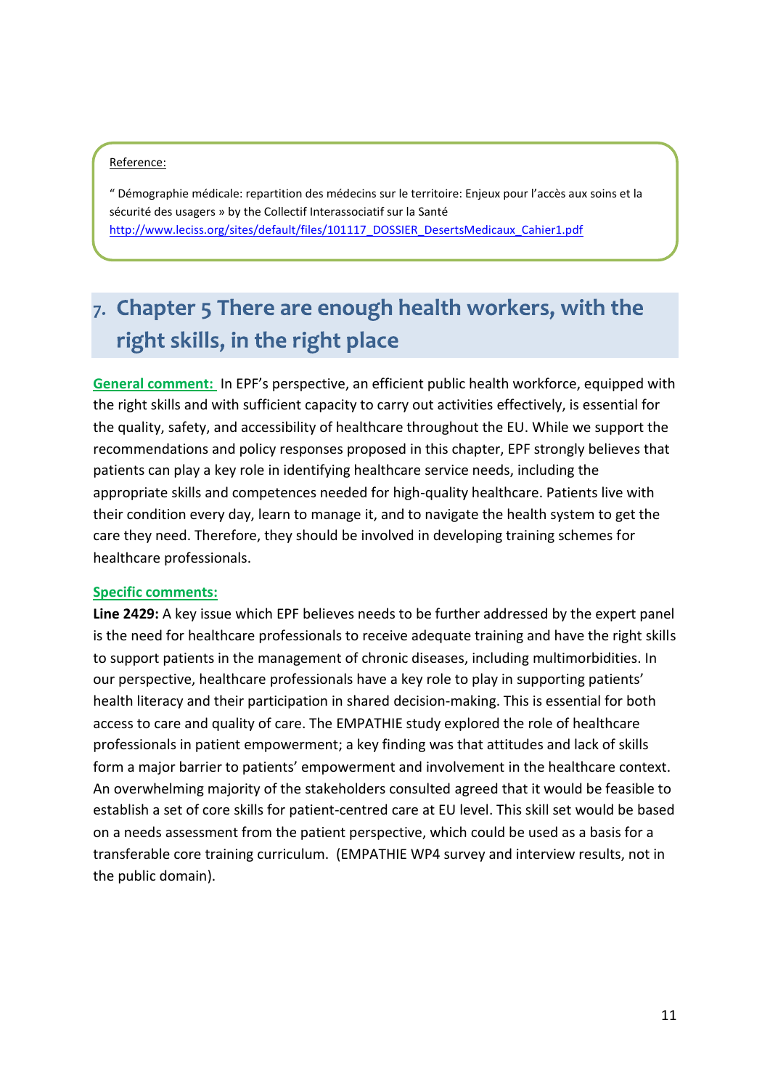#### Reference:

" Démographie médicale: repartition des médecins sur le territoire: Enjeux pour l'accès aux soins et la sécurité des usagers » by the Collectif Interassociatif sur la Santé [http://www.leciss.org/sites/default/files/101117\\_DOSSIER\\_DesertsMedicaux\\_Cahier1.pdf](http://www.leciss.org/sites/default/files/101117_DOSSIER_DesertsMedicaux_Cahier1.pdf)

# 7. Chapter 5 There are enough health workers, with the right skills, in the right place

**General comment:** In EPF's perspective, an efficient public health workforce, equipped with the right skills and with sufficient capacity to carry out activities effectively, is essential for the quality, safety, and accessibility of healthcare throughout the EU. While we support the recommendations and policy responses proposed in this chapter, EPF strongly believes that patients can play a key role in identifying healthcare service needs, including the appropriate skills and competences needed for high-quality healthcare. Patients live with their condition every day, learn to manage it, and to navigate the health system to get the care they need. Therefore, they should be involved in developing training schemes for healthcare professionals.

#### **Specific comments:**

**Line 2429:** A key issue which EPF believes needs to be further addressed by the expert panel is the need for healthcare professionals to receive adequate training and have the right skills to support patients in the management of chronic diseases, including multimorbidities. In our perspective, healthcare professionals have a key role to play in supporting patients' health literacy and their participation in shared decision-making. This is essential for both access to care and quality of care. The EMPATHIE study explored the role of healthcare professionals in patient empowerment; a key finding was that attitudes and lack of skills form a major barrier to patients' empowerment and involvement in the healthcare context. An overwhelming majority of the stakeholders consulted agreed that it would be feasible to establish a set of core skills for patient-centred care at EU level. This skill set would be based on a needs assessment from the patient perspective, which could be used as a basis for a transferable core training curriculum. (EMPATHIE WP4 survey and interview results, not in the public domain).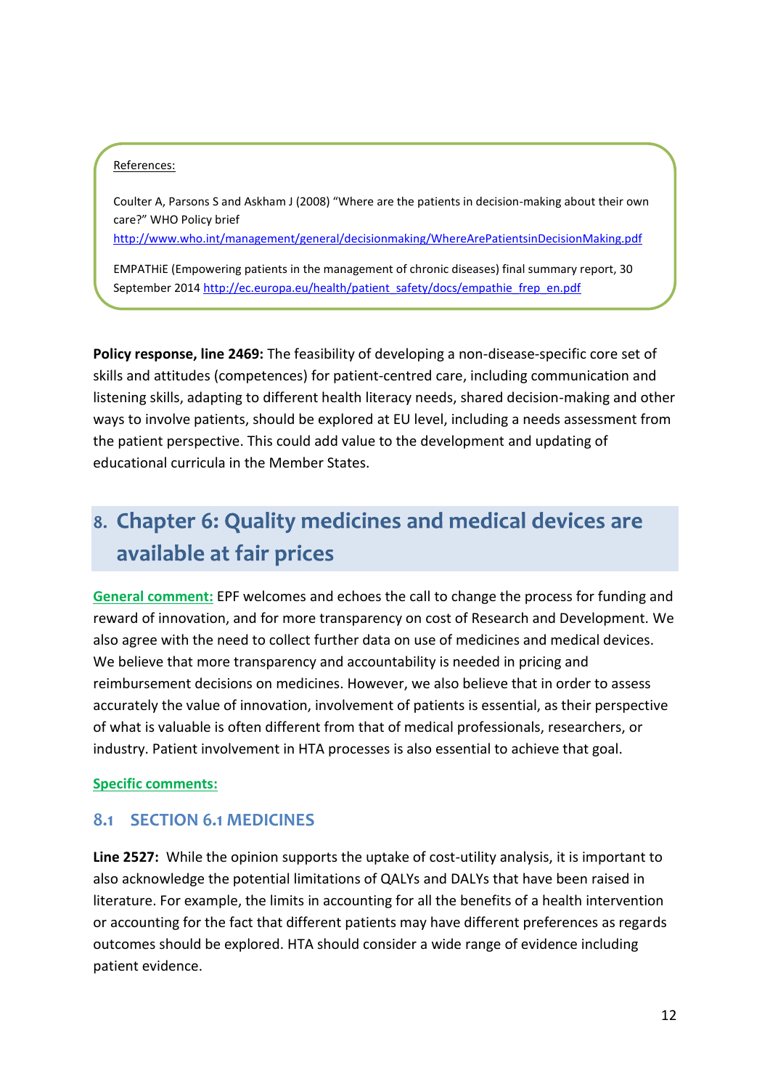#### References:

Coulter A, Parsons S and Askham J (2008) "Where are the patients in decision-making about their own care?" WHO Policy brief

<http://www.who.int/management/general/decisionmaking/WhereArePatientsinDecisionMaking.pdf>

EMPATHiE (Empowering patients in the management of chronic diseases) final summary report, 30 September 201[4 http://ec.europa.eu/health/patient\\_safety/docs/empathie\\_frep\\_en.pdf](http://ec.europa.eu/health/patient_safety/docs/empathie_frep_en.pdf)

**Policy response, line 2469:** The feasibility of developing a non-disease-specific core set of skills and attitudes (competences) for patient-centred care, including communication and listening skills, adapting to different health literacy needs, shared decision-making and other ways to involve patients, should be explored at EU level, including a needs assessment from the patient perspective. This could add value to the development and updating of educational curricula in the Member States.

# 8. Chapter 6: Quality medicines and medical devices are available at fair prices

**General comment:** EPF welcomes and echoes the call to change the process for funding and reward of innovation, and for more transparency on cost of Research and Development. We also agree with the need to collect further data on use of medicines and medical devices. We believe that more transparency and accountability is needed in pricing and reimbursement decisions on medicines. However, we also believe that in order to assess accurately the value of innovation, involvement of patients is essential, as their perspective of what is valuable is often different from that of medical professionals, researchers, or industry. Patient involvement in HTA processes is also essential to achieve that goal.

#### **Specific comments:**

### **8.1 SECTION 6.1 MEDICINES**

**Line 2527:** While the opinion supports the uptake of cost-utility analysis, it is important to also acknowledge the potential limitations of QALYs and DALYs that have been raised in literature. For example, the limits in accounting for all the benefits of a health intervention or accounting for the fact that different patients may have different preferences as regards outcomes should be explored. HTA should consider a wide range of evidence including patient evidence.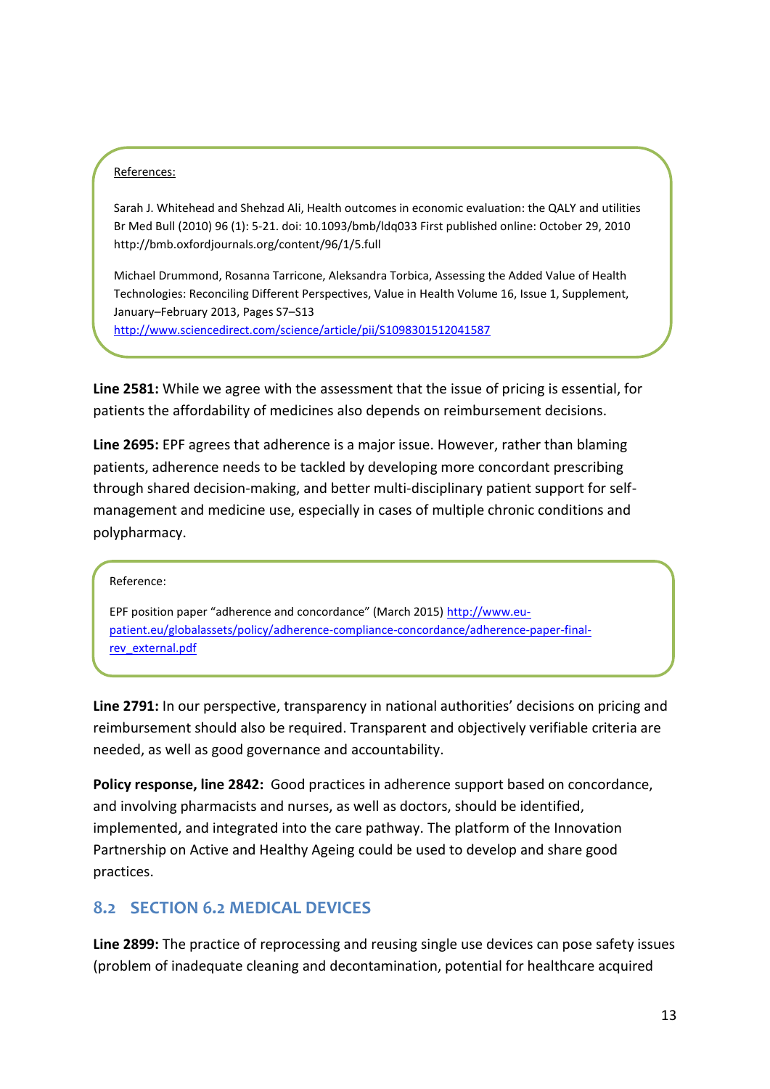#### References:

Sarah J. Whitehead and Shehzad Ali, Health outcomes in economic evaluation: the QALY and utilities Br Med Bull (2010) 96 (1): 5-21. doi: 10.1093/bmb/ldq033 First published online: October 29, 2010 http://bmb.oxfordjournals.org/content/96/1/5.full

Michael Drummond, Rosanna Tarricone, Aleksandra Torbica, Assessing the Added Value of Health Technologies: Reconciling Different Perspectives, Value in Health Volume 16, Issue 1, Supplement, January–February 2013, Pages S7–S13

<http://www.sciencedirect.com/science/article/pii/S1098301512041587>

**Line 2581:** While we agree with the assessment that the issue of pricing is essential, for patients the affordability of medicines also depends on reimbursement decisions.

**Line 2695:** EPF agrees that adherence is a major issue. However, rather than blaming patients, adherence needs to be tackled by developing more concordant prescribing through shared decision-making, and better multi-disciplinary patient support for selfmanagement and medicine use, especially in cases of multiple chronic conditions and polypharmacy.

#### Reference:

EPF position paper "adherence and concordance" (March 2015) [http://www.eu](http://www.eu-patient.eu/globalassets/policy/adherence-compliance-concordance/adherence-paper-final-rev_external.pdf)[patient.eu/globalassets/policy/adherence-compliance-concordance/adherence-paper-final](http://www.eu-patient.eu/globalassets/policy/adherence-compliance-concordance/adherence-paper-final-rev_external.pdf)[rev\\_external.pdf](http://www.eu-patient.eu/globalassets/policy/adherence-compliance-concordance/adherence-paper-final-rev_external.pdf)

**Line 2791:** In our perspective, transparency in national authorities' decisions on pricing and reimbursement should also be required. Transparent and objectively verifiable criteria are needed, as well as good governance and accountability.

**Policy response, line 2842:** Good practices in adherence support based on concordance, and involving pharmacists and nurses, as well as doctors, should be identified, implemented, and integrated into the care pathway. The platform of the Innovation Partnership on Active and Healthy Ageing could be used to develop and share good practices.

#### **8.2 SECTION 6.2 MEDICAL DEVICES**

**Line 2899:** The practice of reprocessing and reusing single use devices can pose safety issues (problem of inadequate cleaning and decontamination, potential for healthcare acquired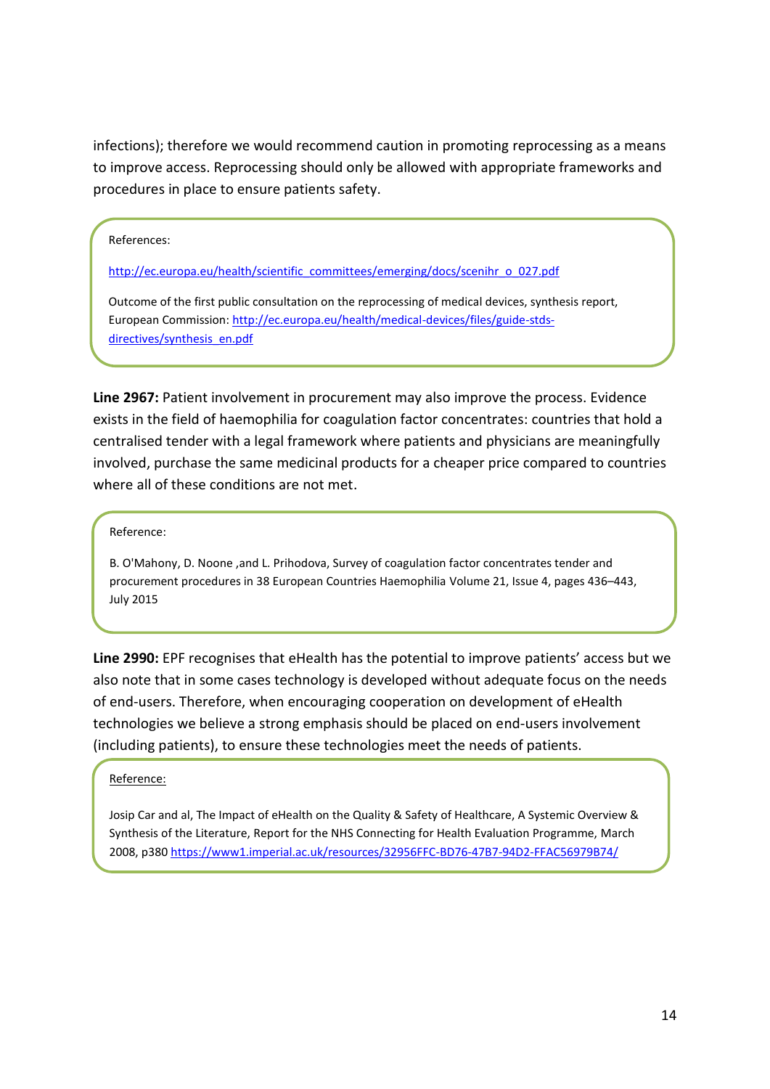infections); therefore we would recommend caution in promoting reprocessing as a means to improve access. Reprocessing should only be allowed with appropriate frameworks and procedures in place to ensure patients safety.

#### References:

[http://ec.europa.eu/health/scientific\\_committees/emerging/docs/scenihr\\_o\\_027.pdf](http://ec.europa.eu/health/scientific_committees/emerging/docs/scenihr_o_027.pdf)

Outcome of the first public consultation on the reprocessing of medical devices, synthesis report, European Commission: [http://ec.europa.eu/health/medical-devices/files/guide-stds](http://ec.europa.eu/health/medical-devices/files/guide-stds-directives/synthesis_en.pdf)[directives/synthesis\\_en.pdf](http://ec.europa.eu/health/medical-devices/files/guide-stds-directives/synthesis_en.pdf)

**Line 2967:** Patient involvement in procurement may also improve the process. Evidence exists in the field of haemophilia for coagulation factor concentrates: countries that hold a centralised tender with a legal framework where patients and physicians are meaningfully involved, purchase the same medicinal products for a cheaper price compared to countries where all of these conditions are not met.

#### Reference:

B. O'Mahony, D. Noone ,and L. Prihodova, Survey of coagulation factor concentrates tender and procurement procedures in 38 European Countries Haemophilia Volume 21, Issue 4, pages 436–443, July 2015

**Line 2990:** EPF recognises that eHealth has the potential to improve patients' access but we also note that in some cases technology is developed without adequate focus on the needs of end-users. Therefore, when encouraging cooperation on development of eHealth technologies we believe a strong emphasis should be placed on end-users involvement (including patients), to ensure these technologies meet the needs of patients.

#### Reference:

Josip Car and al, The Impact of eHealth on the Quality & Safety of Healthcare, A Systemic Overview & Synthesis of the Literature, Report for the NHS Connecting for Health Evaluation Programme, March 2008, p380 <https://www1.imperial.ac.uk/resources/32956FFC-BD76-47B7-94D2-FFAC56979B74/>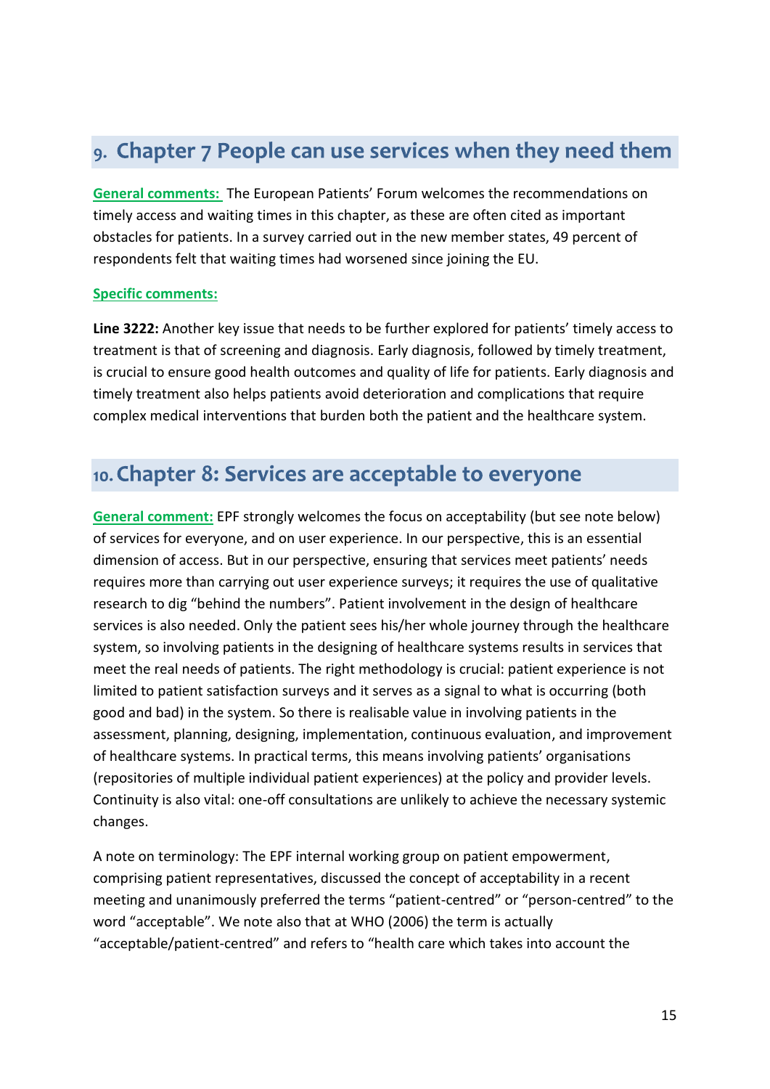# 9. Chapter 7 People can use services when they need them

**General comments:** The European Patients' Forum welcomes the recommendations on timely access and waiting times in this chapter, as these are often cited as important obstacles for patients. In a survey carried out in the new member states, 49 percent of respondents felt that waiting times had worsened since joining the EU.

#### **Specific comments:**

**Line 3222:** Another key issue that needs to be further explored for patients' timely access to treatment is that of screening and diagnosis. Early diagnosis, followed by timely treatment, is crucial to ensure good health outcomes and quality of life for patients. Early diagnosis and timely treatment also helps patients avoid deterioration and complications that require complex medical interventions that burden both the patient and the healthcare system.

### 10. Chapter 8: Services are acceptable to everyone

**General comment:** EPF strongly welcomes the focus on acceptability (but see note below) of services for everyone, and on user experience. In our perspective, this is an essential dimension of access. But in our perspective, ensuring that services meet patients' needs requires more than carrying out user experience surveys; it requires the use of qualitative research to dig "behind the numbers". Patient involvement in the design of healthcare services is also needed. Only the patient sees his/her whole journey through the healthcare system, so involving patients in the designing of healthcare systems results in services that meet the real needs of patients. The right methodology is crucial: patient experience is not limited to patient satisfaction surveys and it serves as a signal to what is occurring (both good and bad) in the system. So there is realisable value in involving patients in the assessment, planning, designing, implementation, continuous evaluation, and improvement of healthcare systems. In practical terms, this means involving patients' organisations (repositories of multiple individual patient experiences) at the policy and provider levels. Continuity is also vital: one-off consultations are unlikely to achieve the necessary systemic changes.

A note on terminology: The EPF internal working group on patient empowerment, comprising patient representatives, discussed the concept of acceptability in a recent meeting and unanimously preferred the terms "patient-centred" or "person-centred" to the word "acceptable". We note also that at WHO (2006) the term is actually "acceptable/patient-centred" and refers to "health care which takes into account the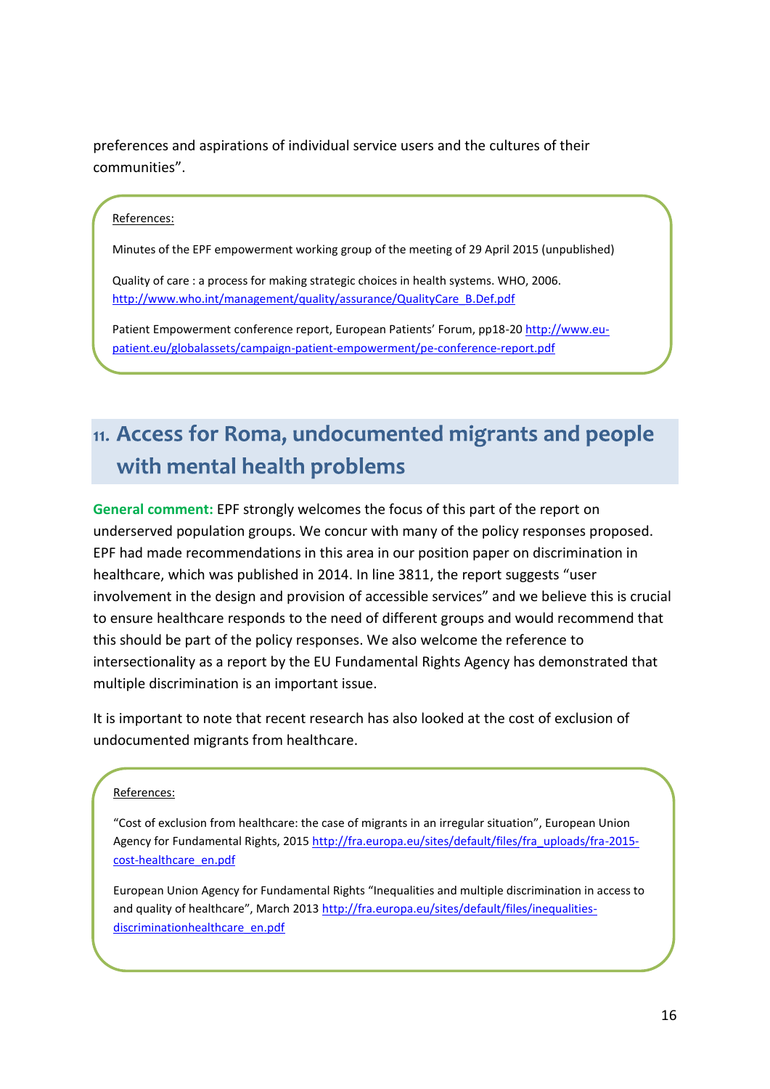preferences and aspirations of individual service users and the cultures of their communities".

#### References:

Minutes of the EPF empowerment working group of the meeting of 29 April 2015 (unpublished)

Quality of care : a process for making strategic choices in health systems. WHO, 2006. [http://www.who.int/management/quality/assurance/QualityCare\\_B.Def.pdf](http://www.who.int/management/quality/assurance/QualityCare_B.Def.pdf)

Patient Empowerment conference report, European Patients' Forum, pp18-2[0 http://www.eu](http://www.eu-patient.eu/globalassets/campaign-patient-empowerment/pe-conference-report.pdf)[patient.eu/globalassets/campaign-patient-empowerment/pe-conference-report.pdf](http://www.eu-patient.eu/globalassets/campaign-patient-empowerment/pe-conference-report.pdf)

# 11. Access for Roma, undocumented migrants and people with mental health problems

**General comment:** EPF strongly welcomes the focus of this part of the report on underserved population groups. We concur with many of the policy responses proposed. EPF had made recommendations in this area in our position paper on discrimination in healthcare, which was published in 2014. In line 3811, the report suggests "user involvement in the design and provision of accessible services" and we believe this is crucial to ensure healthcare responds to the need of different groups and would recommend that this should be part of the policy responses. We also welcome the reference to intersectionality as a report by the EU Fundamental Rights Agency has demonstrated that multiple discrimination is an important issue.

It is important to note that recent research has also looked at the cost of exclusion of undocumented migrants from healthcare.

#### References:

"Cost of exclusion from healthcare: the case of migrants in an irregular situation", European Union Agency for Fundamental Rights, 2015 [http://fra.europa.eu/sites/default/files/fra\\_uploads/fra-2015](http://fra.europa.eu/sites/default/files/fra_uploads/fra-2015-cost-healthcare_en.pdf) [cost-healthcare\\_en.pdf](http://fra.europa.eu/sites/default/files/fra_uploads/fra-2015-cost-healthcare_en.pdf)

European Union Agency for Fundamental Rights "Inequalities and multiple discrimination in access to and quality of healthcare", March 2013 [http://fra.europa.eu/sites/default/files/inequalities](http://fra.europa.eu/sites/default/files/inequalities-discriminationhealthcare_en.pdf)[discriminationhealthcare\\_en.pdf](http://fra.europa.eu/sites/default/files/inequalities-discriminationhealthcare_en.pdf)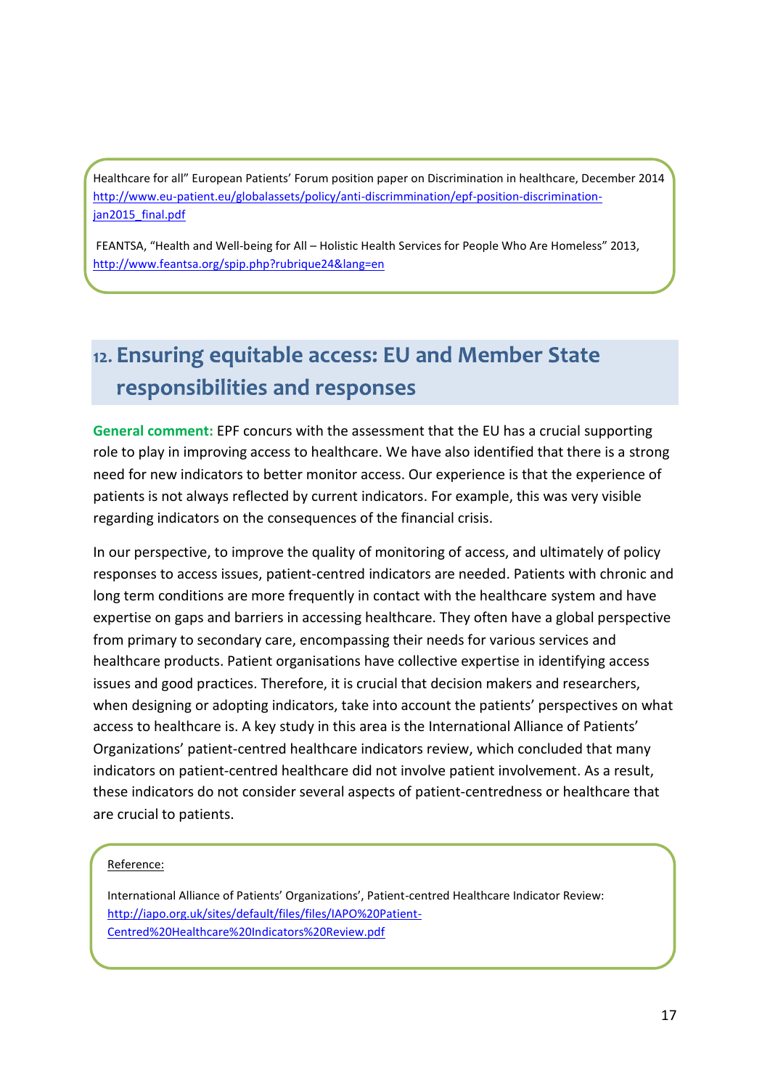Healthcare for all" European Patients' Forum position paper on Discrimination in healthcare, December 2014 [http://www.eu-patient.eu/globalassets/policy/anti-discrimmination/epf-position-discrimination](http://www.eu-patient.eu/globalassets/policy/anti-discrimmination/epf-position-discrimination-jan2015_final.pdf)ian2015\_final.pdf

FEANTSA, "Health and Well-being for All – Holistic Health Services for People Who Are Homeless" 2013, <http://www.feantsa.org/spip.php?rubrique24&lang=en>

# 12. Ensuring equitable access: EU and Member State responsibilities and responses

**General comment:** EPF concurs with the assessment that the EU has a crucial supporting role to play in improving access to healthcare. We have also identified that there is a strong need for new indicators to better monitor access. Our experience is that the experience of patients is not always reflected by current indicators. For example, this was very visible regarding indicators on the consequences of the financial crisis.

In our perspective, to improve the quality of monitoring of access, and ultimately of policy responses to access issues, patient-centred indicators are needed. Patients with chronic and long term conditions are more frequently in contact with the healthcare system and have expertise on gaps and barriers in accessing healthcare. They often have a global perspective from primary to secondary care, encompassing their needs for various services and healthcare products. Patient organisations have collective expertise in identifying access issues and good practices. Therefore, it is crucial that decision makers and researchers, when designing or adopting indicators, take into account the patients' perspectives on what access to healthcare is. A key study in this area is the International Alliance of Patients' Organizations' patient-centred healthcare indicators review, which concluded that many indicators on patient-centred healthcare did not involve patient involvement. As a result, these indicators do not consider several aspects of patient-centredness or healthcare that are crucial to patients.

#### Reference:

International Alliance of Patients' Organizations', Patient-centred Healthcare Indicator Review: [http://iapo.org.uk/sites/default/files/files/IAPO%20Patient-](http://iapo.org.uk/sites/default/files/files/IAPO%20Patient-Centred%20Healthcare%20Indicators%20Review.pdf)[Centred%20Healthcare%20Indicators%20Review.pdf](http://iapo.org.uk/sites/default/files/files/IAPO%20Patient-Centred%20Healthcare%20Indicators%20Review.pdf)